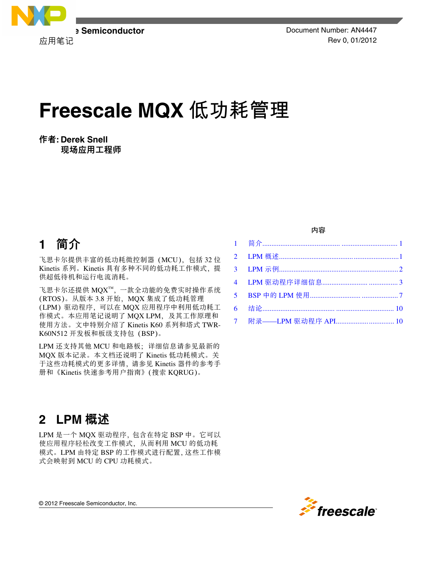

**Francisconductor Francisco Semiconductor Exercise Semiconductor** Document Number: AN4447

# **Freescale MQX 低功耗管理**

作者**: Derek Snell** 现场应用工程师

# **1** 简介

飞思卡尔提供丰富的低功耗微控制器(MCU),包括 32 位 Kinetis 系列。Kinetis 具有多种不同的低功耗工作模式,提 供超低待机和运行电流消耗。

飞思卡尔还提供 MQX™,一款全功能的免费实时操作系统 (RTOS)。从版本 3.8 开始, MQX 集成了低功耗管理 (LPM)驱动程序,可以在 MQX 应用程序中利用低功耗工 作模式。本应用笔记说明了 MQX LPM, 及其工作原理和 使用方法。文中特别介绍了 Kinetis K60 系列和塔式 TWR-K60N512 开发板和板级支持包(BSP)。

LPM 还支持其他 MCU 和电路板;详细信息请参见最新的 MQX 版本记录。本文档还说明了 Kinetis 低功耗模式。关 于这些功耗模式的更多详情,请参见 Kinetis 器件的参考手 册和《Kinetis 快速参考用户指南》(搜索 KQRUG)。

#### 内容

| 5 <sup>1</sup> |                       |  |
|----------------|-----------------------|--|
|                |                       |  |
|                | 7 附录——LPM 驱动程序 API 10 |  |

# **2 LPM** 概述

LPM 是一个 MQX 驱动程序, 包含在特定 BSP 中。它可以 使应用程序轻松改变工作模式,从而利用 MCU 的低功耗 模式。LPM 由特定 BSP 的工作模式进行配置,这些工作模 式会映射到 MCU 的 CPU 功耗模式。



© 2012 Freescale Semiconductor, Inc.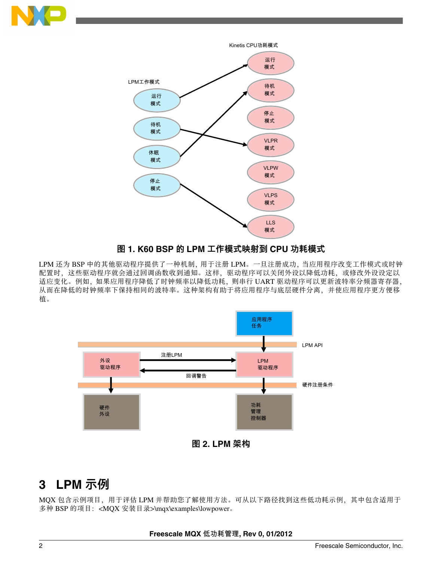<span id="page-1-0"></span>



### 图 **1. K60 BSP** 的 **LPM** 工作模式映射到 **CPU** 功耗模式

LPM 还为 BSP 中的其他驱动程序提供了一种机制,用于注册 LPM。一旦注册成功,当应用程序改变工作模式或时钟 配置时,这些驱动程序就会通过回调函数收到通知。这样,驱动程序可以关闭外设以降低功耗,或修改外设设定以 适应变化。例如,如果应用程序降低了时钟频率以降低功耗,则串行 UART 驱动程序可以更新波特率分频器寄存器, 从而在降低的时钟频率下保持相同的波特率。这种架构有助于将应用程序与底层硬件分离,并使应用程序更方便移 植。



# **3 LPM** 示例

MQX 包含示例项目,用于评估 LPM 并帮助您了解使用方法。可从以下路径找到这些低功耗示例,其中包含适用于 多种 BSP 的项目: <MQX 安装目录>\mqx\examples\lowpower。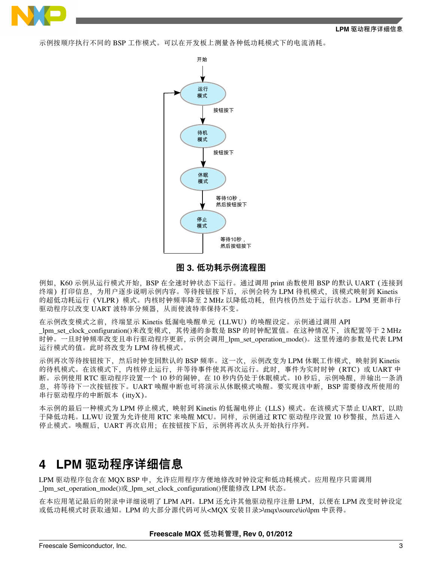<span id="page-2-0"></span>

示例按顺序执行不同的 BSP 工作模式。可以在开发板上测量各种低功耗模式下的电流消耗。



#### 图 **3.** 低功耗示例流程图

例如,K60 示例从运行模式开始,BSP 在全速时钟状态下运行。通过调用 print 函数使用 BSP 的默认 UART(连接到 终端)打印信息,为用户逐步说明示例内容。等待按钮按下后,示例会转为 LPM 待机模式,该模式映射到 Kinetis 的超低功耗运行(VLPR)模式。内核时钟频率降至 2 MHz 以降低功耗,但内核仍然处于运行状态。LPM 更新串行 驱动程序以改变 UART 波特率分频器,从而使波特率保持不变。

在示例改变模式之前,终端显示 Kinetis 低漏电唤醒单元(LLWU)的唤醒设定。示例通过调用 API \_lpm\_set\_clock\_configuration()来改变模式,其传递的参数是 BSP 的时钟配置值。在这种情况下,该配置等于 2 MHz 时钟。一旦时钟频率改变且串行驱动程序更新,示例会调用\_lpm\_set\_operation\_mode()。这里传递的参数是代表 LPM 运行模式的值。此时将改变为 LPM 待机模式。

示例再次等待按钮按下,然后时钟变回默认的 BSP 频率。这一次,示例改变为 LPM 休眠工作模式,映射到 Kinetis 的待机模式。在该模式下,内核停止运行,并等待事件使其再次运行。此时,事件为实时时钟(RTC)或 UART 中 断。示例使用 RTC 驱动程序设置一个 10 秒的闹钟, 在 10 秒内仍处于休眠模式。10 秒后, 示例唤醒, 并输出一条消 息,将等待下一次按钮按下。UART 唤醒中断也可将演示从休眠模式唤醒。要实现该中断,BSP 需要修改所使用的 串行驱动程序的中断版本(ittyX)。

本示例的最后一种模式为 LPM 停止模式,映射到 Kinetis 的低漏电停止 (LLS)模式式。在该模式下禁止 UART, 以助 于降低功耗。LLWU 设置为允许使用 RTC 来唤醒 MCU。同样,示例通过 RTC 驱动程序设置 10 秒警报,然后进入 停止模式。唤醒后,UART 再次启用;在按钮按下后,示例将再次从头开始执行序列。

### **4 LPM** 驱动程序详细信息

LPM 驱动程序包含在 MOX BSP 中, 允许应用程序方便地修改时钟设定和低功耗模式。应用程序只需调用 \_lpm\_set\_operation\_mode()或\_lpm\_set\_clock\_configuration()便能修改 LPM 状态。

在本应用笔记最后的附录中详细说明了 LPM API。LPM 还允许其他驱动程序注册 LPM,以便在 LPM 改变时钟设定 或低功耗模式时获取通知。LPM 的大部分源代码可从<MQX 安装目录>\mqx\source\io\lpm 中获得。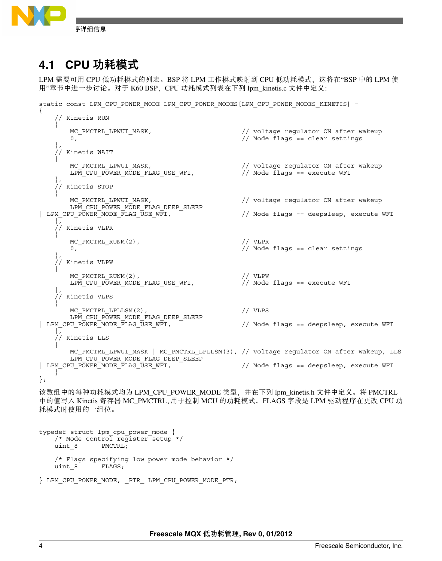

# **4.1 CPU** 功耗模式

LPM 需要可用 CPU 低功耗模式的列表。BSP 将 LPM 工作模式映射到 CPU 低功耗模式, 这将在"BSP 中的 LPM 使 用"章节中进一步讨论。对于 K60 BSP, CPU 功耗模式列表在下列 lpm\_kinetis.c 文件中定义:

```
static const LPM_CPU_POWER_MODE LPM_CPU_POWER_MODES[LPM_CPU_POWER_MODES_KINETIS] =
{
     // Kinetis RUN
    \{MC_PMCTRL_LPWUI_MASK, \frac{1}{2} // voltage regulator ON after wakeup
        0, \overline{a} = \overline{a} = \overline{a} // Mode flags == clear settings
 },
     // Kinetis WAIT
\{MC_PMCTRL_LPWUI_MASK,<br>
LPM CPU POWER MODE FLAG USE WFI, \frac{1}{\frac{1}{N}} Mode flags == execute WFI
        LPM CPU POWER MODE FLAG USE WFI,
 },
 // Kinetis STOP
\{MC_PMCTRL_LPWUI_MASK, \frac{1}{2} // voltage regulator ON after wakeup
LPM_CPU_POWER_MODE_FLAG_DEEP_SLEEP<br>| LPM_CPU_POWER_MODE_FLAG_USE_WFI,
                                                      // Mode flags == deepsleep, execute WFI
     },
      Kinetis VLPR
\{MC_PMCTRL_RUNM(2), // VLPR
        0, 0. Community of the settlement of \ell Mode flags == clear settings
 },
      Kinetis VLPW
\{MC_PMCTRL_RUNM(2), // VLPW
         LPM_CPU_POWER_MODE_FLAG_USE_WFI, // Mode flags == execute WFI
     },
     // Kinetis VLPS
\{MC_PMCTRL_LPLLSM(2), \sqrt{U} VLPS
LPM_CPU_POWER_MODE_FLAG_DEEP_SLEEP<br>| LPM_CPU_POWER_MODE_FLAG_USE_WFI,
                                                      // Mode flags == deepsleep, execute WFI
    \frac{3}{1},
      Kinetis LLS
\left\{\begin{array}{c} \end{array}\right\} MC_PMCTRL_LPWUI_MASK | MC_PMCTRL_LPLLSM(3), // voltage regulator ON after wakeup, LLS
LPM_CPU_POWER_MODE_FLAG_DEEP_SLEEP<br>| LPM_CPU_POWER_MODE_FLAG_USE_WFI,
                                                      // Mode flags == deepsleep, execute WFI
     }
};
```
该数组中的每种功耗模式均为 LPM\_CPU\_POWER\_MODE 类型,并在下列 lpm\_kinetis.h 文件中定义。将 PMCTRL 中的值写入 Kinetis 寄存器 MC\_PMCTRL,用于控制 MCU 的功耗模式。FLAGS 字段是 LPM 驱动程序在更改 CPU 功 耗模式时使用的一组位。

```
typedef struct lpm cpu power mode {
    /* Mode control register setup */
    uint_8 PMCTRL;
    /* Flags specifying low power mode behavior */
   uint 8 FLAGS;
} LPM CPU POWER MODE, PTR LPM CPU POWER MODE PTR;
```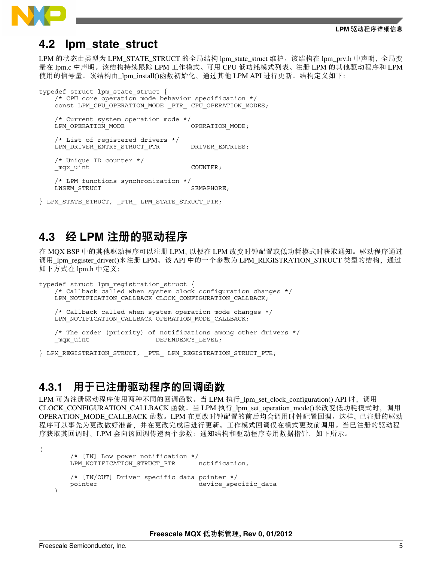

### **4.2 lpm\_state\_struct**

LPM 的状态由类型为 LPM\_STATE\_STRUCT 的全局结构 lpm\_state\_struct 维护。该结构在 lpm\_prv.h 中声明,全局变 量在 lpm.c 中声明。该结构持续跟踪 LPM 工作模式、可用 CPU 低功耗模式列表、注册 LPM 的其他驱动程序和 LPM 使用的信号量。该结构由 lpm\_install()函数初始化,通过其他 LPM API 进行更新。结构定义如下:

```
typedef struct lpm_state_struct {
    /* CPU core operation mode behavior specification */
    const LPM_CPU_OPERATION_MODE _PTR_ CPU_OPERATION_MODES;
    /* Current system operation mode */
   LPM_OPERATION_MODE
    /* List of registered drivers */
   LPM_DRIVER_ENTRY_STRUCT_PTR    DRIVER_ENTRIES;
    /* Unique ID counter */
   mqx uint COUNTER;
    /* LPM functions synchronization */
   LWSEM STRUCT
} LPM_STATE_STRUCT, _PTR_ LPM_STATE_STRUCT_PTR;
```
# **4.3** 经 **LPM** 注册的驱动程序

在 MQX BSP 中的其他驱动程序可以注册 LPM,以便在 LPM 改变时钟配置或低功耗模式时获取通知。驱动程序通过 调用 lpm\_register\_driver()来注册 LPM。该 API 中的一个参数为 LPM\_REGISTRATION\_STRUCT 类型的结构,通过 如下方式在 lpm.h 中定义:

typedef struct lpm\_registration\_struct { /\* Callback called when system clock configuration changes \*/ LPM\_NOTIFICATION\_CALLBACK CLOCK\_CONFIGURATION\_CALLBACK; /\* Callback called when system operation mode changes \*/ LPM\_NOTIFICATION\_CALLBACK OPERATION MODE\_CALLBACK;

 /\* The order (priority) of notifications among other drivers \*/ mqx uint DEPENDENCY LEVEL;

} LPM\_REGISTRATION\_STRUCT, \_PTR\_ LPM\_REGISTRATION\_STRUCT\_PTR;

### **4.3.1** 用于已注册驱动程序的回调函数

LPM 可为注册驱动程序使用两种不同的回调函数。当 LPM 执行\_lpm\_set\_clock\_configuration() API 时, 调用 CLOCK\_CONFIGURATION\_CALLBACK 函数。当 LPM 执行\_lpm\_set\_operation\_mode()来改变低功耗模式时,调用 OPERATION\_MODE\_CALLBACK 函数。LPM 在更改时钟配置的前后均会调用时钟配置回调。这样,已注册的驱动 程序可以事先为更改做好准备,并在更改完成后进行更新。工作模式回调仅在模式更改前调用。当已注册的驱动程 序获取其回调时,LPM 会向该回调传递两个参数:通知结构和驱动程序专用数据指针,如下所示。

```
 /* [IN] Low power notification */
   LPM_NOTIFICATION_STRUCT_PTR notification,
    /* [IN/OUT] Driver specific data pointer */
   pointer device specific data
\lambda
```
(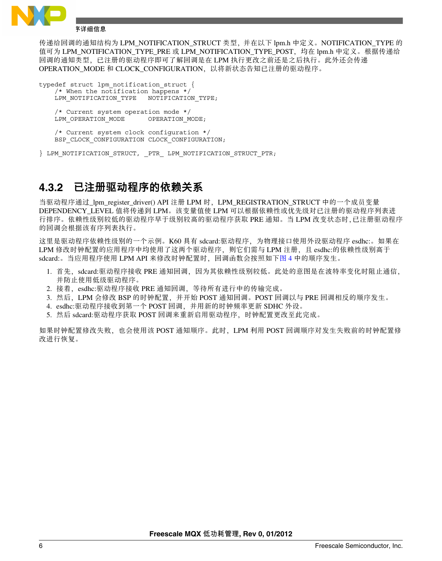

传递给回调的通知结构为 LPM\_NOTIFICATION\_STRUCT 类型,并在以下 lpm.h 中定义。NOTIFICATION\_TYPE 的 值可为 LPM\_NOTIFICATION\_TYPE\_PRE 或 LPM\_NOTIFICATION\_TYPE\_POST, 均在 lpm.h 中定义。根据传递给 回调的通知类型,已注册的驱动程序即可了解回调是在 LPM 执行更改之前还是之后执行。此外还会传递 OPERATION\_MODE 和 CLOCK\_CONFIGURATION, 以将新状态告知已注册的驱动程序。

typedef struct lpm\_notification\_struct { /\* When the notification happens \*/ LPM\_NOTIFICATION\_TYPE

 /\* Current system operation mode \*/ LPM\_OPERATION\_MODE

 /\* Current system clock configuration \*/ BSP\_CLOCK\_CONFIGURATION CLOCK\_CONFIGURATION;

} LPM NOTIFICATION STRUCT, PTR LPM NOTIFICATION STRUCT PTR;

### **4.3.2** 已注册驱动程序的依赖关系

当驱动程序通过 lpm\_register\_driver() API 注册 LPM 时, LPM\_REGISTRATION\_STRUCT 中的一个成员变量 DEPENDENCY\_LEVEL 值将传递到 LPM。该变量值使 LPM 可以根据依赖性或优先级对已注册的驱动程序列表进 行排序。依赖性级别较低的驱动程序早于级别较高的驱动程序获取 PRE 通知。当 LPM 改变状态时,已注册驱动程序 的回调会根据该有序列表执行。

这里是驱动程序依赖性级别的一个示例。K60 具有 sdcard:驱动程序, 为物理接口使用外设驱动程序 esdhc:。如果在 LPM 修改时钟配置的应用程序中均使用了这两个驱动程序,则它们需与 LPM 注册,且 esdhc:的依赖性级别高于 sdcard:。当应用程序使用 LPM API 来修改时钟配置时,回调函数会按照如[下图](#page-6-0) 4 中的顺序发生。

- 1. 首先, sdcard:驱动程序接收 PRE 通知回调, 因为其依赖性级别较低。此处的意图是在波特率变化时阻止通信, 并防止使用低级驱动程序。
- 2. 接着, esdhc:驱动程序接收 PRE 通知回调, 等待所有进行中的传输完成。
- 3. 然后,LPM 会修改 BSP 的时钟配置,并开始 POST 通知回调。POST 回调以与 PRE 回调相反的顺序发生。
- 4. esdhc:驱动程序接收到第一个 POST 回调,并用新的时钟频率更新 SDHC 外设。
- 5. 然后 sdcard:驱动程序获取 POST 回调来重新启用驱动程序,时钟配置更改至此完成。

如果时钟配置修改失败,也会使用该 POST 通知顺序。此时,LPM 利用 POST 回调顺序对发生失败前的时钟配置修 改进行恢复。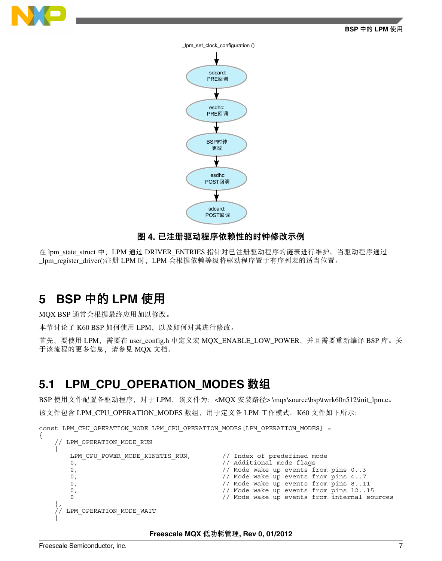<span id="page-6-0"></span>

\_lpm\_set\_clock\_configuration ()



### 图 **4.** 已注册驱动程序依赖性的时钟修改示例

在 lpm\_state\_struct 中, LPM 通过 DRIVER\_ENTRIES 指针对已注册驱动程序的链表进行维护。当驱动程序通过 \_lpm\_register\_driver()注册 LPM 时,LPM 会根据依赖等级将驱动程序置于有序列表的适当位置。

# **5 BSP** 中的 **LPM** 使用

MQX BSP 通常会根据最终应用加以修改。

本节讨论了 K60 BSP 如何使用 LPM, 以及如何对其进行修改。

首先,要使用 LPM,需要在 user\_config.h 中定义宏 MQX\_ENABLE\_LOW\_POWER,并且需要重新编译 BSP 库。关 于该流程的更多信息,请参见 MQX 文档。

# **5.1 LPM\_CPU\_OPERATION\_MODES** 数组

BSP 使用文件配置各驱动程序, 对于 LPM, 该文件为: <MQX 安装路径> \mqx\source\bsp\twrk60n512\init\_lpm.c。

该文件包含 LPM\_CPU\_OPERATION\_MODES 数组, 用于定义各 LPM 工作模式。K60 文件如下所示:

```
const LPM_CPU_OPERATION_MODE LPM_CPU_OPERATION_MODES[LPM_OPERATION_MODES] = 
{
      // LPM_OPERATION_MODE_RUN
\{LPM_CPU_POWER_MODE_KINETIS_RUN, \frac{1}{\sqrt{2}} Index of predefined mode
           0, \begin{array}{ccc} - & - & - \\ - & \end{array} \begin{array}{ccc} - & \end{array} // Additional mode flags
           0, 0.33 and 0.13 and 0.13 and 0.13 and 0.13 and 0.13 and 0.13 and 0.13 and 0.13 and 0.13 and 0.13 and 0.13 and 0.13 and 0.13 and 0.13 and 0.13 and 0.13 and 0.13 and 0.13 and 0.13 and 0.13 and 0.13 and 0.13 and 0.13 and 0.1
           0, 0. Comparison of the state of the Mode wake up events from pins 4..7 (0) 0.<br>(1) Mode wake up events from pins 8..1
           0, 0. Compared the state of the World Who wake up events from pins 8..11 0.<br>10. Compared the Mode wake up events from pins 12..1
                                                                   // Mode wake up events from pins 12..15
           0 0 0 // Mode wake up events from internal sources
 },
         LPM_OPERATION_MODE_WAIT
 {
```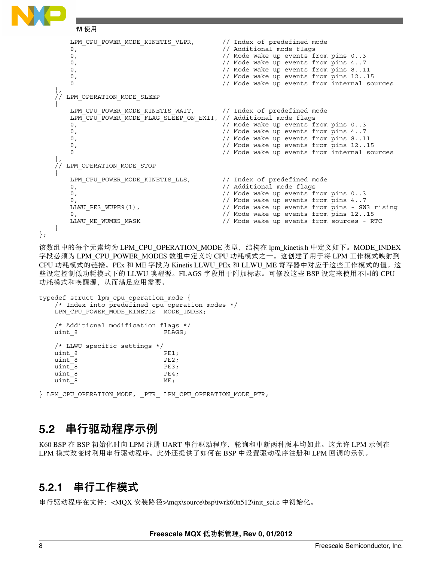```
BSP 中的 LPM 使用
```
};

```
LPM CPU POWER MODE KINETIS VLPR, // Index of predefined mode
         0, \overline{a} \overline{a} \overline{a} \overline{a} \overline{a} \overline{a} \overline{a} \overline{a} \overline{a} \overline{a} \overline{a} \overline{a} \overline{a} \overline{a} \overline{a} \overline{a} \overline{a} \overline{a} \overline{a} \overline{a} \overline{a} \overline{a} \overline{a} \overline{a} \0, 0. Compared to the set of \ell Mode wake up events from pins 0..3
          0, // Mode wake up events from pins 4..7
         0, 0. Compared the set of the value wake up events from pins 8..11 \frac{1}{10}, 0.11 \frac{1}{10}, 0.12.1
                                                       // Mode wake up events from pins 12..15
         0 0 0 // Mode wake up events from internal sources
 },
       LPM_OPERATION_MODE_SLEEP
\{LPM_CPU_POWER_MODE_KINETIS_WAIT, // Index of predefined mode
         LPM_CPU_POWER_MODE_FLAG_SLEEP_ON_EXIT, // Additional mode_flags
         0, 0. Comparison of the state of the Mode wake up events from pins 0..3<br>1.1 Mode wake up events from pins 4..7 (1996)
                                                       // Mode wake up events from pins 4..7
          0, // Mode wake up events from pins 8..11
          0, // Mode wake up events from pins 12..15
                                                       // Mode wake up events from internal sources
 },
       LPM_OPERATION_MODE_STOP
\{LPM CPU POWER MODE KINETIS LLS, // Index of predefined mode
         0, 0. 2008 0. 2009 12:30 12:30 12:30 12:30 12:30 12:30 12:30 12:30 12:30 12:30 12:30 12:30 12:30 12:30 12:30 12:30 12:30 12:30 12:30 12:30 12:30 12:30 12:30 12:30 12:30 12:30 12:30 12:30 12:30 12:30 12:30 12:30 12:30 12:30
         0,<br>
0,<br>
0,<br>
2.1 The Wode wake up events from pins 4..7
         0,<br>
LLWU PE3 WUPE9(1),<br>
2009 // Mode wake up events from pins - SW
                                                       // Mode wake up events from pins - SW3 rising
          0, // Mode wake up events from pins 12..15
                                                       // Mode wake up events from sources - RTC
     }
```
该数组中的每个元素均为 LPM\_CPU\_OPERATION\_MODE 类型, 结构在 lpm\_kinetis.h 中定义如下。MODE\_INDEX 字段必须为 LPM\_CPU\_POWER\_MODES 数组中定义的 CPU 功耗模式之一。这创建了用于将 LPM 工作模式映射到 CPU 功耗模式的链接。PEx 和 ME 字段为 Kinetis LLWU\_PEx 和 LLWU\_ME 寄存器中对应于这些工作模式的值。这 些设定控制低功耗模式下的 LLWU 唤醒源。FLAGS 字段用于附加标志。可修改这些 BSP 设定来使用不同的 CPU 功耗模式和唤醒源,从而满足应用需要。

```
typedef struct lpm cpu operation mode {
   /* Index into predefined cpu operation modes */
  LPM_CPU_POWER_MODE_KINETIS _MODE_INDEX;
   /* Additional modification flags */
  uint 8 FLAGS;
   /* LLWU specific settings */
  uint 8 PE1;
  uint 8 PE2;
  uint_8 PE3;
  uint 8 PE4;
  uint 8 ME;
```
} LPM CPU OPERATION MODE, PTR LPM CPU OPERATION MODE PTR;

# **5.2** 串行驱动程序示例

K60 BSP 在 BSP 初始化时向 LPM 注册 UART 串行驱动程序,轮询和中断两种版本均如此。这允许 LPM 示例在 LPM 模式改变时利用串行驱动程序。此外还提供了如何在 BSP 中设置驱动程序注册和 LPM 回调的示例。

# **5.2.1** 串行工作模式

串行驱动程序在文件:<MQX 安装路径>\mqx\source\bsp\twrk60n512\init\_sci.c 中初始化。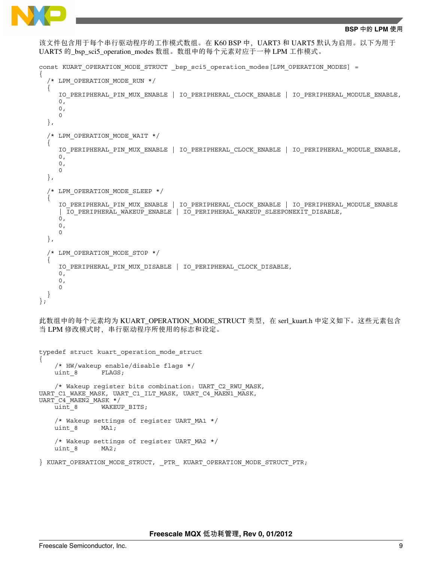

```
BSP 中的 LPM 使用
```
该文件包含用于每个串行驱动程序的工作模式数组。在 K60 BSP 中, UART3 和 UART5 默认为启用。以下为用于 UART5 的 bsp\_sci5\_operation\_modes 数组。数组中的每个元素对应于一种 LPM 工作模式。

```
const KUART OPERATION MODE STRUCT  bsp sci5 operation modes [LPM OPERATION MODES] =
{
   /* LPM_OPERATION_MODE_RUN */
 {
      IO_PERIPHERAL_PIN_MUX_ENABLE | IO_PERIPHERAL_CLOCK_ENABLE | IO_PERIPHERAL_MODULE_ENABLE,
      0,
     0,\Omega },
   /* LPM_OPERATION_MODE_WAIT */
 {
      IO_PERIPHERAL_PIN_MUX_ENABLE | IO_PERIPHERAL_CLOCK_ENABLE | IO_PERIPHERAL_MODULE_ENABLE,
     0,0, 0
   },
   /* LPM_OPERATION_MODE_SLEEP */
 {
      IO_PERIPHERAL_PIN_MUX_ENABLE | IO_PERIPHERAL_CLOCK_ENABLE | IO_PERIPHERAL_MODULE_ENABLE 
      | IO_PERIPHERAL_WAKEUP_ENABLE | IO_PERIPHERAL_WAKEUP_SLEEPONEXIT_DISABLE,
     0,0, 0
   },
    LPM_OPERATION_MODE_STOP */
 {
      IO_PERIPHERAL_PIN_MUX_DISABLE | IO_PERIPHERAL_CLOCK_DISABLE,
     0,0,\Omega }
};
```
此数组中的每个元素均为 KUART\_OPERATION\_MODE\_STRUCT 类型, 在 serl\_kuart.h 中定义如下。这些元素包含 当 LPM 修改模式时, 串行驱动程序所使用的标志和设定。

```
typedef struct kuart_operation_mode_struct
{
     /* HW/wakeup enable/disable flags */
    uint_8 FLAGS;
    /* Wakeup register bits combination: UART_C2_RWU_MASK, 
UART C1 WAKE MASK, UART C1 ILT MASK, UART C4 MAEN1 MASK,
UART_C4_MAEN2_MASK */
   uint 8 WAKEUP BITS;
    /* Wakeup settings of register UART_MA1 */
   uint 8 MA1;
     /* Wakeup settings of register UART_MA2 */
   uint 8 MA2;
} KUART OPERATION MODE STRUCT, PTR_ KUART OPERATION MODE STRUCT PTR;
```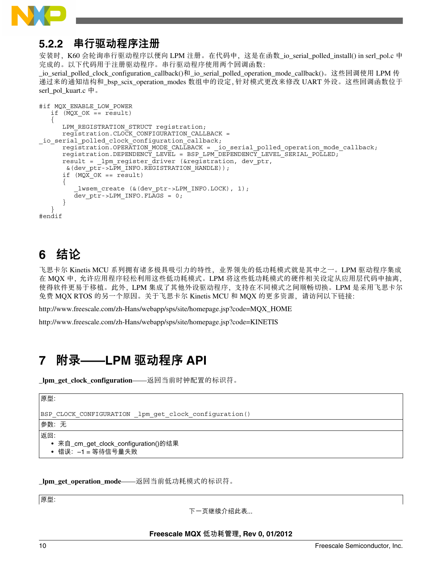<span id="page-9-0"></span>

### **5.2.2** 串行驱动程序注册

安装时,K60 会轮询串行驱动程序以便向 LPM 注册。在代码中,这是在函数\_io\_serial\_polled\_install() in serl\_pol.c 中 完成的。以下代码用于注册驱动程序。串行驱动程序使用两个回调函数:

\_io\_serial\_polled\_clock\_configuration\_callback()和\_io\_serial\_polled\_operation\_mode\_callback()。这些回调使用 LPM 传 递过来的通知结构和 bsp\_scix\_operation\_modes 数组中的设定,针对模式更改来修改 UART 外设。这些回调函数位于 serl\_pol\_kuart.c 中。

```
#if MQX_ENABLE_LOW_POWER
     if (MQX_OK == result)
\{ \cdot \cdot \cdot \cdot \cdot \cdot \cdot \cdot \cdot \cdot \cdot \cdot \cdot \cdot \cdot \cdot \cdot \cdot \cdot \cdot \cdot \cdot \cdot \cdot \cdot \cdot \cdot \cdot \cdot \cdot \cdot \cdot \cdot \cdot \cdot \cdot 
        LPM_REGISTRATION_STRUCT_registration;
         registration.CLOCK_CONFIGURATION_CALLBACK = 
io serial polled clock configuration callback;
        registration.OPERATION_MODE_CALLBACK = _ io_serial_polled_operation_mode_callback;
         registration.DEPENDENCY_LEVEL = BSP_LPM_DEPENDENCY_LEVEL_SERIAL_POLLED; 
        result = \underline{1pm\_register\_driver} (&registration, dev_ptr,
          \& (dev ptr->LPM_INFO.REGISTRATION HANDLE));
        if (MQ\overline{X} OK == \overline{result})\{lwsem create (&(dev ptr->LPM INFO.LOCK), 1);
             \overline{dev} ptr->LPM INFO.FLAGS = 0;
 }
 }
#endif
```
# **6** 结论

飞思卡尔 Kinetis MCU 系列拥有诸多极具吸引力的特性,业界领先的低功耗模式就是其中之一。LPM 驱动程序集成 在 MQX 中,允许应用程序轻松利用这些低功耗模式。LPM 将这些低功耗模式的硬件相关设定从应用层代码中抽离, 使得软件更易于移植。此外,LPM 集成了其他外设驱动程序,支持在不同模式之间顺畅切换。LPM 是采用飞思卡尔 免费 MQX RTOS 的另一个原因。关于飞思卡尔 Kinetis MCU 和 MQX 的更多资源,请访问以下链接:

http://www.freescale.com/zh-Hans/webapp/sps/site/homepage.jsp?code=MQX\_HOME

http://www.freescale.com/zh-Hans/webapp/sps/site/homepage.jsp?code=KINETIS

# **7** 附录**——LPM** 驱动程序 **API**

**\_lpm\_get\_clock\_configuration**——返回当前时钟配置的标识符。

```
原型:
```
BSP\_CLOCK\_CONFIGURATION \_lpm\_get\_clock\_configuration()

参数:无

返回:

- 来自\_cm\_get\_clock\_configuration()的结果
- 错误:–1 = 等待信号量失败

**\_lpm\_get\_operation\_mode**——返回当前低功耗模式的标识符。

原型:

下一页继续介绍此表*...*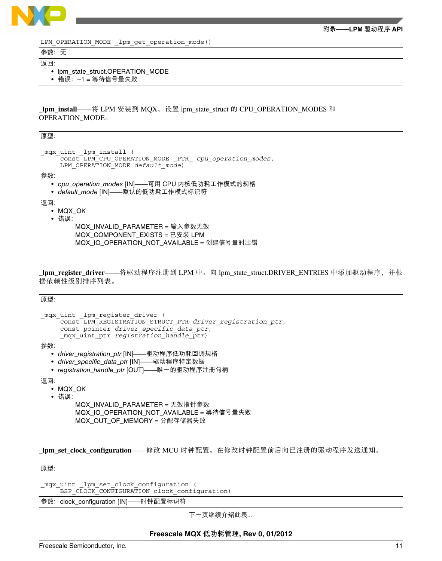

**附录——LPM 驱动程序 API**

```
LPM_OPERATION_MODE _lpm_get_operation_mode()
```
参数:无

返回:

- lpm\_state\_struct.OPERATION\_MODE
- 错误:–1 = 等待信号量失败

#### **\_lpm\_install**——将 LPM 安装到 MQX。设置 lpm\_state\_struct 的 CPU\_OPERATION\_MODES 和 OPERATION\_MODE。

| 原型:                                                                                                                 |
|---------------------------------------------------------------------------------------------------------------------|
| mqx uint lpm install (<br>const LPM CPU OPERATION MODE PTR cpu operation modes,<br>LPM OPERATION MODE default mode) |
| 参数:                                                                                                                 |
| • cpu_operation_modes [IN]——可用 CPU 内核低功耗工作模式的规格                                                                     |
| • default_mode [IN]——默认的低功耗工作模式标识符                                                                                  |
| 返回:                                                                                                                 |
| $\bullet$ MQX OK                                                                                                    |
| • 错误:                                                                                                               |
| MQX_INVALID_PARAMETER = 输入参数无效                                                                                      |
| MQX_COMPONENT_EXISTS = 已安装 LPM                                                                                      |
| MQX_IO_OPERATION_NOT_AVAILABLE = 创建信号量时出错                                                                           |

**\_lpm\_register\_driver**——将驱动程序注册到 LPM 中。向 lpm\_state\_struct.DRIVER\_ENTRIES 中添加驱动程序,并根 据依赖性级别排序列表。

| 原型:                                                                                                                                                                              |
|----------------------------------------------------------------------------------------------------------------------------------------------------------------------------------|
| mqx uint lpm register driver (<br>const LPM_REGISTRATION_STRUCT_PTR driver_registration_ptr,<br>const pointer driver specific data ptr,<br>mqx uint ptr registration handle ptr) |
| 参数:<br>• driver_registration_ptr [IN]——驱动程序低功耗回调规格<br>• driver_specific_data_ptr [IN]——驱动程序特定数据<br>• registration_handle_ptr [OUT]——唯一的驱动程序注册句柄                                  |
| 返回:<br>• MQX OK<br>• 错误:<br>MQX_INVALID_PARAMETER = 无效指针参数<br>MQX_IO_OPERATION_NOT_AVAILABLE = 等待信号量失败<br>MQX_OUT_OF_MEMORY = 分配存储器失败                                            |

### **\_lpm\_set\_clock\_configuration**——修改 MCU 时钟配置。在修改时钟配置前后向已注册的驱动程序发送通知。

| 原型:                                                                                  |  |
|--------------------------------------------------------------------------------------|--|
| mqx uint lpm set clock configuration<br>BSP CLOCK CONFIGURATION clock configuration) |  |
| │参数:clock_configuration [IN]——时钟配置标识符                                                |  |

下一页继续介绍此表*...*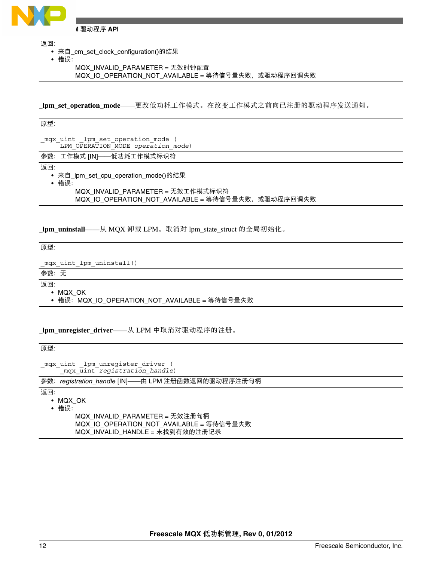

返回:

- 来自\_cm\_set\_clock\_configuration()的结果
- 错误:
	- MQX\_INVALID\_PARAMETER = 无效时钟配置
	- MQX\_IO\_OPERATION\_NOT\_AVAILABLE = 等待信号量失败, 或驱动程序回调失败

**\_lpm\_set\_operation\_mode**——更改低功耗工作模式。在改变工作模式之前向已注册的驱动程序发送通知。

| 原型: |                                                                           |
|-----|---------------------------------------------------------------------------|
|     | _mqx_uint _lpm_set_operation_mode +<br>LPM OPERATION MODE operation_mode) |
|     | 参数:工作模式 [IN]——低功耗工作模式标识符                                                  |
| 返回: |                                                                           |
|     | • 来自_lpm_set_cpu_operation_mode()的结果<br>• 错误:                             |
|     | MQX_INVALID_PARAMETER = 无效工作模式标识符                                         |
|     | MQX_IO_OPERATION_NOT_AVAILABLE = 等待信号量失败, 或驱动程序回调失败                       |

**\_lpm\_uninstall**——从 MQX 卸载 LPM。取消对 lpm\_state\_struct 的全局初始化。

| 原型:                                           |
|-----------------------------------------------|
| _mqx_uint_lpm_uninstall()                     |
| 参数:无                                          |
| 返回:                                           |
| • MQX_OK                                      |
| ● 错误:MQX_IO_OPERATION_NOT_AVAILABLE = 等待信号量失败 |

**\_lpm\_unregister\_driver**——从 LPM 中取消对驱动程序的注册。

| 原型:                                                                         |  |
|-----------------------------------------------------------------------------|--|
| mqx_uint _lpm_unregister_driver<br>mqx uint registration handle)            |  |
| │参数: <i>registration_handle</i> [IN]——由 LPM 注册函数返回的驱动程序注册句柄                 |  |
| 返回:                                                                         |  |
| • MQX OK<br>• 错误:                                                           |  |
| MQX_INVALID_PARAMETER = 无效注册句柄                                              |  |
| MQX_IO_OPERATION_NOT_AVAILABLE = 等待信号量失败<br>MQX_INVALID_HANDLE = 未找到有效的注册记录 |  |